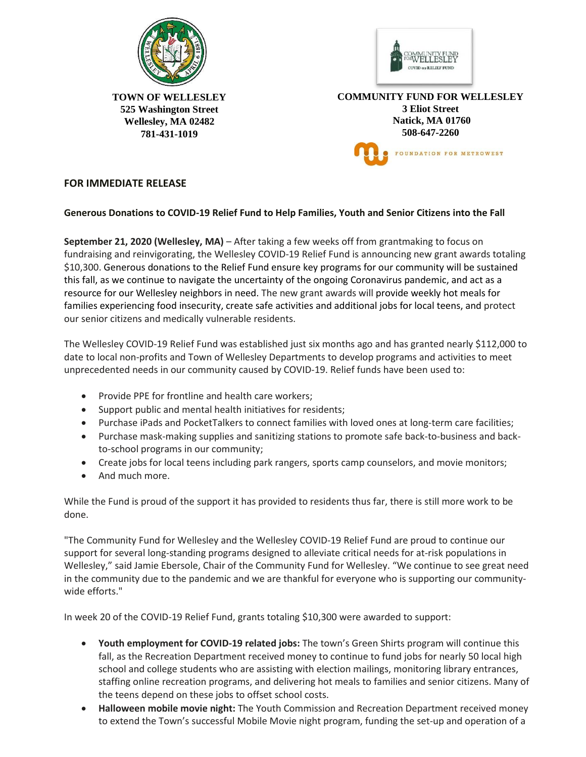



**TOWN OF WELLESLEY 525 Washington Street Wellesley, MA 02482 781-431-1019** 

**COMMUNITY FUND FOR WELLESLEY 3 Eliot Street Natick, MA 01760 508-647-2260** FOUNDATION FOR METROWEST

## **FOR IMMEDIATE RELEASE**

## **Generous Donations to COVID-19 Relief Fund to Help Families, Youth and Senior Citizens into the Fall**

**September 21, 2020 (Wellesley, MA)** – After taking a few weeks off from grantmaking to focus on fundraising and reinvigorating, the Wellesley COVID-19 Relief Fund is announcing new grant awards totaling \$10,300. Generous donations to the Relief Fund ensure key programs for our community will be sustained this fall, as we continue to navigate the uncertainty of the ongoing Coronavirus pandemic, and act as a resource for our Wellesley neighbors in need. The new grant awards will provide weekly hot meals for families experiencing food insecurity, create safe activities and additional jobs for local teens, and protect our senior citizens and medically vulnerable residents.

The Wellesley COVID-19 Relief Fund was established just six months ago and has granted nearly \$112,000 to date to local non-profits and Town of Wellesley Departments to develop programs and activities to meet unprecedented needs in our community caused by COVID-19. Relief funds have been used to:

- Provide PPE for frontline and health care workers;
- Support public and mental health initiatives for residents;
- Purchase iPads and PocketTalkers to connect families with loved ones at long-term care facilities;
- Purchase mask-making supplies and sanitizing stations to promote safe back-to-business and backto-school programs in our community;
- Create jobs for local teens including park rangers, sports camp counselors, and movie monitors;
- And much more.

While the Fund is proud of the support it has provided to residents thus far, there is still more work to be done.

"The Community Fund for Wellesley and the Wellesley COVID-19 Relief Fund are proud to continue our support for several long-standing programs designed to alleviate critical needs for at-risk populations in Wellesley," said Jamie Ebersole, Chair of the Community Fund for Wellesley. "We continue to see great need in the community due to the pandemic and we are thankful for everyone who is supporting our communitywide efforts."

In week 20 of the COVID-19 Relief Fund, grants totaling \$10,300 were awarded to support:

- **Youth employment for COVID-19 related jobs:** The town's Green Shirts program will continue this fall, as the Recreation Department received money to continue to fund jobs for nearly 50 local high school and college students who are assisting with election mailings, monitoring library entrances, staffing online recreation programs, and delivering hot meals to families and senior citizens. Many of the teens depend on these jobs to offset school costs.
- **Halloween mobile movie night:** The Youth Commission and Recreation Department received money to extend the Town's successful Mobile Movie night program, funding the set-up and operation of a